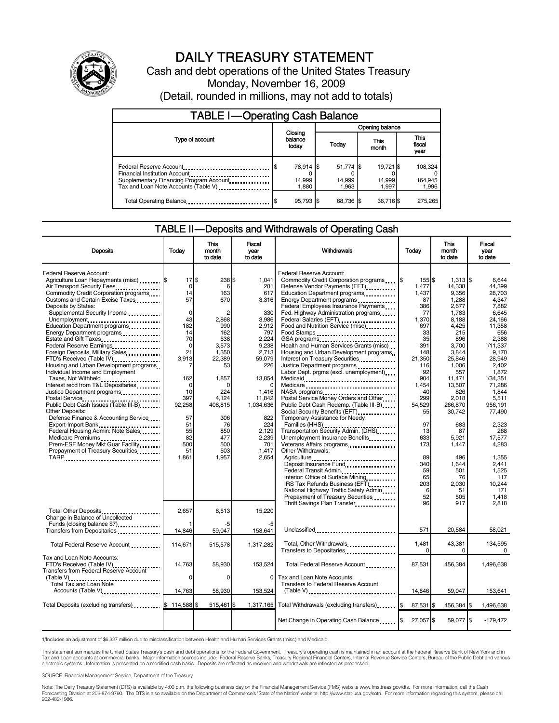

# DAILY TREASURY STATEMENT

Cash and debt operations of the United States Treasury Monday, November 16, 2009 (Detail, rounded in millions, may not add to totals)

| <b>TABLE I-Operating Cash Balance</b>                                                                                                                                                    |                              |  |                 |                              |  |                              |                               |                             |
|------------------------------------------------------------------------------------------------------------------------------------------------------------------------------------------|------------------------------|--|-----------------|------------------------------|--|------------------------------|-------------------------------|-----------------------------|
|                                                                                                                                                                                          | Closing<br>balance<br>today  |  | Opening balance |                              |  |                              |                               |                             |
| Type of account                                                                                                                                                                          |                              |  |                 | This<br>Today<br>month       |  |                              | <b>This</b><br>fiscal<br>year |                             |
| Federal Reserve Account<br>Financial Institution Account<br>Supplementary Financing Program Account.<br>Tax and Loan Note Accounts (Table V) <b>Tax and Loan Note Accounts</b> (Table V) | 78,914 \$<br>14,999<br>1.880 |  |                 | 51,774 \$<br>14,999<br>1.963 |  | 19,721 \$<br>14,999<br>1.997 |                               | 108,324<br>164,945<br>1,996 |
| Total Operating Balance                                                                                                                                                                  | 95,793 \$                    |  |                 | 68.736 \$                    |  | 36,716\$                     |                               | 275,265                     |

### TABLE II — Deposits and Withdrawals of Operating Cash

| <b>Deposits</b>                                                                                                                                                                                                                                                                                                                                                                                                                                                                                                                                        | Todav                                                                                                    | <b>This</b><br>month<br>to date                                                                    | <b>Fiscal</b><br>vear<br>to date                                                                                   | Withdrawals                                                                                                                                                                                                                                                                                                                                                                                                                                                                                                                                                                                                                                                                                                  | Today                                                                                                               | <b>This</b><br>month<br>to date                                                                                                                | <b>Fiscal</b><br>vear<br>to date                                                                                                                      |
|--------------------------------------------------------------------------------------------------------------------------------------------------------------------------------------------------------------------------------------------------------------------------------------------------------------------------------------------------------------------------------------------------------------------------------------------------------------------------------------------------------------------------------------------------------|----------------------------------------------------------------------------------------------------------|----------------------------------------------------------------------------------------------------|--------------------------------------------------------------------------------------------------------------------|--------------------------------------------------------------------------------------------------------------------------------------------------------------------------------------------------------------------------------------------------------------------------------------------------------------------------------------------------------------------------------------------------------------------------------------------------------------------------------------------------------------------------------------------------------------------------------------------------------------------------------------------------------------------------------------------------------------|---------------------------------------------------------------------------------------------------------------------|------------------------------------------------------------------------------------------------------------------------------------------------|-------------------------------------------------------------------------------------------------------------------------------------------------------|
| <b>Federal Reserve Account:</b><br>Agriculture Loan Repayments (misc)  \$<br>Air Transport Security Fees<br>Commodity Credit Corporation programs<br>Customs and Certain Excise Taxes<br>Deposits by States:<br>Supplemental Security Income<br>Unemployment<br>Education Department programs<br>Energy Department programs<br>Estate and Gift Taxes<br>Federal Reserve Earnings<br>Foreign Deposits, Military Sales<br>FTD's Received (Table IV)<br>Housing and Urban Development programs<br>Individual Income and Employment<br>Taxes, Not Withheld | $17$ $\frac{1}{3}$<br>0<br>14<br>57<br>0<br>43<br>182<br>14<br>70<br>$\Omega$<br>21<br>3,913<br>7<br>162 | 238 \$<br>6<br>163<br>670<br>2.868<br>990<br>162<br>538<br>3.573<br>1,350<br>22,389<br>53<br>1,857 | 1.041<br>201<br>617<br>3,316<br>330<br>3,986<br>2,912<br>797<br>2.224<br>9.238<br>2,713<br>59,079<br>226<br>13,854 | Federal Reserve Account:<br>Defense Vendor Payments (EFT)<br>Education Department programs<br>Energy Department programs<br>Federal Employees Insurance Payments<br>Fed. Highway Administration programs<br>Federal Salaries (EFT)<br>1999: 1999: 1999: 1999: 1999: 1999: 1999: 1999: 1999: 1999: 1999: 1999: 1999: 1999: 1999: 1999: 1999: 1999: 1999: 1999: 1999: 1999: 1999: 1999: 1999: 1999: 1999: 1999: 1999: 1999: 1999: 1999: 1999:<br>Food and Nutrition Service (misc)<br>Food Stamps<br>Health and Human Services Grants (misc)<br>Housing and Urban Development programs<br>Interest on Treasury Securities<br>Justice Department programs<br>Labor Dept. prgms (excl. unemployment)<br>Medicaid | 155 \$<br>1.477<br>1.437<br>87<br>386<br>77<br>1.370<br>697<br>33<br>35<br>391<br>148<br>21,350<br>116<br>92<br>904 | $1,313$ \$<br>14.338<br>9.356<br>1,288<br>2.677<br>1.783<br>8.188<br>4,425<br>215<br>896<br>3.700<br>3,844<br>25,846<br>1.006<br>557<br>11,471 | 6.644<br>44.399<br>28.703<br>4.347<br>7.882<br>6.645<br>24.166<br>11,358<br>656<br>2.388<br>1/11.337<br>9,170<br>28,949<br>2.402<br>1.872<br>1/34,351 |
| Interest recd from T&L Depositaries<br>Justice Department programs<br>Public Debt Cash Issues (Table III-B)<br>Other Deposits:<br>Defense Finance & Accounting Service<br>Export-Import Bank                                                                                                                                                                                                                                                                                                                                                           | $\mathbf 0$<br>10<br>397<br>92,258<br>57<br>51                                                           | 0<br>224<br>4.124<br>408,815<br>306<br>76                                                          | 1,416<br>11,842<br>1,034,636<br>822<br>224                                                                         | Postal Service Money Orders and Other<br>Public Debt Cash Redemp. (Table III-B)<br>Social Security Benefits (EFT)<br>Temporary Assistance for Needy                                                                                                                                                                                                                                                                                                                                                                                                                                                                                                                                                          | 1,454<br>40<br>299<br>54,529<br>55<br>97                                                                            | 13,507<br>826<br>2.018<br>266,870<br>30,742<br>683                                                                                             | 71,286<br>1.844<br>5.511<br>956,191<br>77,490<br>2.323                                                                                                |
| Federal Housing Admin: Note Sales<br>Medicare Premiums<br>Prem-ESF Money Mkt Guar Facility<br>Prepayment of Treasury Securities                                                                                                                                                                                                                                                                                                                                                                                                                        | 55<br>82<br>500<br>51<br>1,861                                                                           | 850<br>477<br>500<br>503<br>1,957                                                                  | 2,129<br>2,239<br>701<br>1,417<br>2,654                                                                            | Transportation Security Admin. (DHS)<br>Unemployment Insurance Benefits<br>Veterans Affairs programs<br>Other Withdrawals:<br>Agriculture<br>Deposit Insurance Fund<br>Federal Transit Admin.<br>Interior: Office of Surface Mining<br>IRS Tax Refunds Business (EFT)<br>National Highway Traffic Safety Admin                                                                                                                                                                                                                                                                                                                                                                                               | 13<br>633<br>173<br>89<br>340<br>59<br>65<br>203<br>6                                                               | 87<br>5.921<br>1,447<br>496<br>1.644<br>501<br>76<br>2,030<br>51                                                                               | 268<br>17,577<br>4.283<br>1,355<br>2.441<br>1,525<br>117<br>10,244<br>171                                                                             |
| Total Other Deposits<br>Change in Balance of Uncollected<br>Funds (closing balance \$7)<br>Transfers from Depositaries                                                                                                                                                                                                                                                                                                                                                                                                                                 | 2,657<br>14.846                                                                                          | 8,513<br>-5<br>59.047                                                                              | 15,220<br>153,641                                                                                                  | Prepayment of Treasury Securities<br>Thrift Savings Plan Transfer<br>Unclassified                                                                                                                                                                                                                                                                                                                                                                                                                                                                                                                                                                                                                            | 52<br>96<br>571                                                                                                     | 505<br>917<br>20,584                                                                                                                           | 1.418<br>2,818<br>58,021                                                                                                                              |
| Total Federal Reserve Account                                                                                                                                                                                                                                                                                                                                                                                                                                                                                                                          | 114,671                                                                                                  | 515,578                                                                                            | 1,317,282                                                                                                          | Total, Other Withdrawals<br>Transfers to Depositaries <b>Constant Constant of Transfers</b>                                                                                                                                                                                                                                                                                                                                                                                                                                                                                                                                                                                                                  | 1,481<br>$\Omega$                                                                                                   | 43,381<br>0                                                                                                                                    | 134,595<br>$\Omega$                                                                                                                                   |
| Tax and Loan Note Accounts:<br>FTD's Received (Table IV)<br><b>Transfers from Federal Reserve Account</b><br>(Table V)                                                                                                                                                                                                                                                                                                                                                                                                                                 | 14.763<br>0                                                                                              | 58.930<br>$\Omega$                                                                                 | 153.524<br>$\Omega$                                                                                                | Total Federal Reserve Account<br>Tax and Loan Note Accounts:                                                                                                                                                                                                                                                                                                                                                                                                                                                                                                                                                                                                                                                 | 87,531                                                                                                              | 456.384                                                                                                                                        | 1.496.638                                                                                                                                             |
| <b>Total Tax and Loan Note</b><br>Accounts (Table V)                                                                                                                                                                                                                                                                                                                                                                                                                                                                                                   | 14,763                                                                                                   | 58,930                                                                                             | 153,524                                                                                                            | <b>Transfers to Federal Reserve Account</b><br>$(Table V)$                                                                                                                                                                                                                                                                                                                                                                                                                                                                                                                                                                                                                                                   | 14.846                                                                                                              | 59,047                                                                                                                                         | 153,641                                                                                                                                               |
| Total Deposits (excluding transfers) <b>S</b>                                                                                                                                                                                                                                                                                                                                                                                                                                                                                                          | 114,588 \$                                                                                               | 515,461 \$                                                                                         |                                                                                                                    | 1,317,165 Total Withdrawals (excluding transfers) \$                                                                                                                                                                                                                                                                                                                                                                                                                                                                                                                                                                                                                                                         | 87,531 \$                                                                                                           | 456,384 \$                                                                                                                                     | 1,496,638                                                                                                                                             |
|                                                                                                                                                                                                                                                                                                                                                                                                                                                                                                                                                        |                                                                                                          |                                                                                                    |                                                                                                                    | Net Change in Operating Cash Balance                                                                                                                                                                                                                                                                                                                                                                                                                                                                                                                                                                                                                                                                         | l\$<br>27,057 \$                                                                                                    | 59,077 \$                                                                                                                                      | $-179,472$                                                                                                                                            |

1/Includes an adjustment of \$6,327 million due to misclassification between Health and Human Services Grants (misc) and Medicaid.

This statement summarizes the United States Treasury's cash and debt operations for the Federal Government. Treasury's operating cash is maintained in an account at the Federal Reserve Bank of New York and in<br>Tax and Loan

SOURCE: Financial Management Service, Department of the Treasury

Note: The Daily Treasury Statement (DTS) is available by 4:00 p.m. the following business day on the Financial Management Service (FMS) website www.fms.treas.gov/dts. For more information, call the Cash<br>Forecasting Divisio